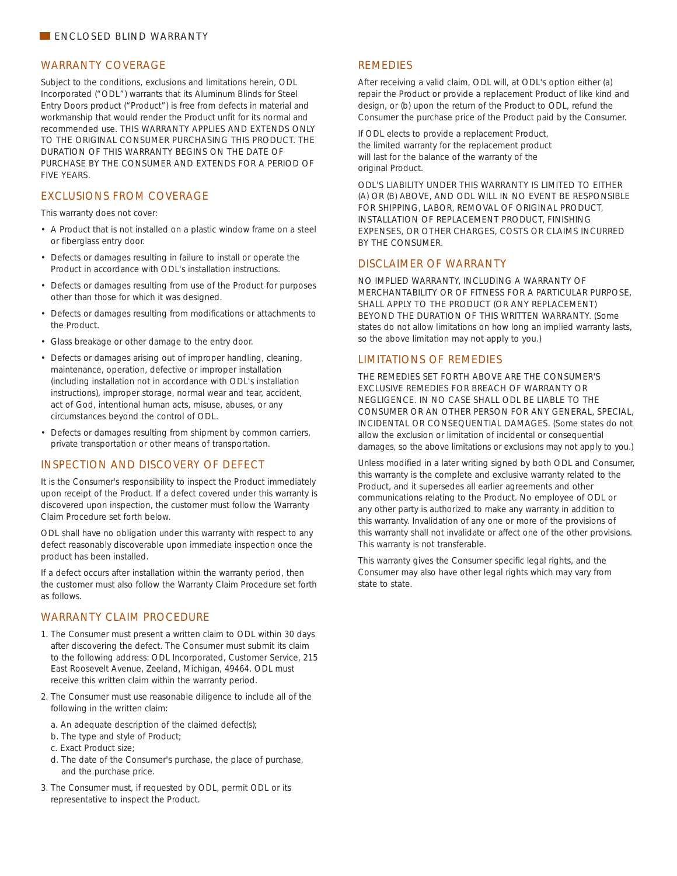#### WARRANTY COVERAGE

Subject to the conditions, exclusions and limitations herein, ODL Incorporated ("ODL") warrants that its Aluminum Blinds for Steel Entry Doors product ("Product") is free from defects in material and workmanship that would render the Product unfit for its normal and recommended use. THIS WARRANTY APPLIES AND EXTENDS ONLY TO THE ORIGINAL CONSUMER PURCHASING THIS PRODUCT. THE DURATION OF THIS WARRANTY BEGINS ON THE DATE OF PURCHASE BY THE CONSUMER AND EXTENDS FOR A PERIOD OF FIVE YEARS.

### EXCLUSIONS FROM COVERAGE

This warranty does not cover:

- A Product that is not installed on a plastic window frame on a steel or fiberglass entry door.
- Defects or damages resulting in failure to install or operate the Product in accordance with ODL's installation instructions.
- Defects or damages resulting from use of the Product for purposes other than those for which it was designed.
- Defects or damages resulting from modifications or attachments to the Product.
- Glass breakage or other damage to the entry door.
- Defects or damages arising out of improper handling, cleaning, maintenance, operation, defective or improper installation (including installation not in accordance with ODL's installation instructions), improper storage, normal wear and tear, accident, act of God, intentional human acts, misuse, abuses, or any circumstances beyond the control of ODL.
- Defects or damages resulting from shipment by common carriers, private transportation or other means of transportation.

### INSPECTION AND DISCOVERY OF DEFECT

It is the Consumer's responsibility to inspect the Product immediately upon receipt of the Product. If a defect covered under this warranty is discovered upon inspection, the customer must follow the Warranty Claim Procedure set forth below.

ODL shall have no obligation under this warranty with respect to any defect reasonably discoverable upon immediate inspection once the product has been installed.

If a defect occurs after installation within the warranty period, then the customer must also follow the Warranty Claim Procedure set forth as follows.

# WARRANTY CLAIM PROCEDURE

- 1. The Consumer must present a written claim to ODL within 30 days after discovering the defect. The Consumer must submit its claim to the following address: ODL Incorporated, Customer Service, 215 East Roosevelt Avenue, Zeeland, Michigan, 49464. ODL must receive this written claim within the warranty period.
- 2. The Consumer must use reasonable diligence to include all of the following in the written claim:
	- a. An adequate description of the claimed defect(s);
	- b. The type and style of Product;
	- c. Exact Product size;
- d. The date of the Consumer's purchase, the place of purchase, and the purchase price.
- 3. The Consumer must, if requested by ODL, permit ODL or its representative to inspect the Product.

### **REMEDIES**

After receiving a valid claim, ODL will, at ODL's option either (a) repair the Product or provide a replacement Product of like kind and design, or (b) upon the return of the Product to ODL, refund the Consumer the purchase price of the Product paid by the Consumer.

If ODL elects to provide a replacement Product, the limited warranty for the replacement product will last for the balance of the warranty of the original Product.

ODL'S LIABILITY UNDER THIS WARRANTY IS LIMITED TO EITHER (A) OR (B) ABOVE, AND ODL WILL IN NO EVENT BE RESPONSIBLE FOR SHIPPING, LABOR, REMOVAL OF ORIGINAL PRODUCT, INSTALLATION OF REPLACEMENT PRODUCT, FINISHING EXPENSES, OR OTHER CHARGES, COSTS OR CLAIMS INCURRED BY THE CONSUMER.

# DISCLAIMER OF WARRANTY

NO IMPLIED WARRANTY, INCLUDING A WARRANTY OF MERCHANTABILITY OR OF FITNESS FOR A PARTICULAR PURPOSE, SHALL APPLY TO THE PRODUCT (OR ANY REPLACEMENT) BEYOND THE DURATION OF THIS WRITTEN WARRANTY. (Some states do not allow limitations on how long an implied warranty lasts, so the above limitation may not apply to you.)

## LIMITATIONS OF REMEDIES

THE REMEDIES SET FORTH ABOVE ARE THE CONSUMER'S EXCLUSIVE REMEDIES FOR BREACH OF WARRANTY OR NEGLIGENCE. IN NO CASE SHALL ODL BE LIABLE TO THE CONSUMER OR AN OTHER PERSON FOR ANY GENERAL, SPECIAL, INCIDENTAL OR CONSEQUENTIAL DAMAGES. (Some states do not allow the exclusion or limitation of incidental or consequential damages, so the above limitations or exclusions may not apply to you.)

Unless modified in a later writing signed by both ODL and Consumer, this warranty is the complete and exclusive warranty related to the Product, and it supersedes all earlier agreements and other communications relating to the Product. No employee of ODL or any other party is authorized to make any warranty in addition to this warranty. Invalidation of any one or more of the provisions of this warranty shall not invalidate or affect one of the other provisions. This warranty is not transferable.

This warranty gives the Consumer specific legal rights, and the Consumer may also have other legal rights which may vary from state to state.